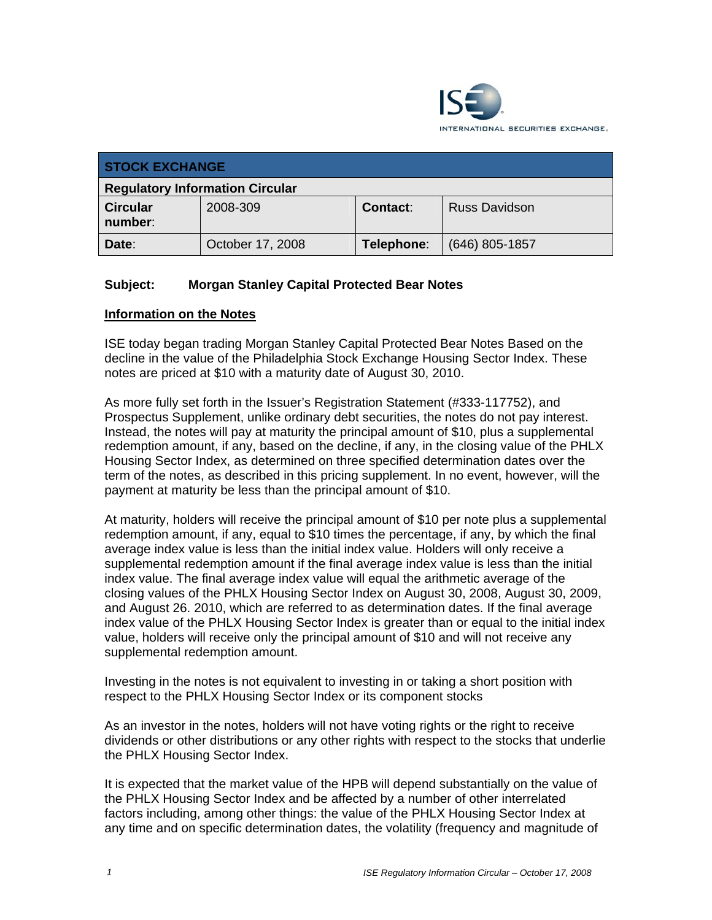

| <b>STOCK EXCHANGE</b>                  |                  |            |                      |  |  |
|----------------------------------------|------------------|------------|----------------------|--|--|
| <b>Regulatory Information Circular</b> |                  |            |                      |  |  |
| <b>Circular</b><br>number:             | 2008-309         | Contact:   | <b>Russ Davidson</b> |  |  |
| Date:                                  | October 17, 2008 | Telephone: | $(646)$ 805-1857     |  |  |

## **Subject: Morgan Stanley Capital Protected Bear Notes**

## **Information on the Notes**

ISE today began trading Morgan Stanley Capital Protected Bear Notes Based on the decline in the value of the Philadelphia Stock Exchange Housing Sector Index. These notes are priced at \$10 with a maturity date of August 30, 2010.

As more fully set forth in the Issuer's Registration Statement (#333-117752), and Prospectus Supplement, unlike ordinary debt securities, the notes do not pay interest. Instead, the notes will pay at maturity the principal amount of \$10, plus a supplemental redemption amount, if any, based on the decline, if any, in the closing value of the PHLX Housing Sector Index, as determined on three specified determination dates over the term of the notes, as described in this pricing supplement. In no event, however, will the payment at maturity be less than the principal amount of \$10.

At maturity, holders will receive the principal amount of \$10 per note plus a supplemental redemption amount, if any, equal to \$10 times the percentage, if any, by which the final average index value is less than the initial index value. Holders will only receive a supplemental redemption amount if the final average index value is less than the initial index value. The final average index value will equal the arithmetic average of the closing values of the PHLX Housing Sector Index on August 30, 2008, August 30, 2009, and August 26. 2010, which are referred to as determination dates. If the final average index value of the PHLX Housing Sector Index is greater than or equal to the initial index value, holders will receive only the principal amount of \$10 and will not receive any supplemental redemption amount.

Investing in the notes is not equivalent to investing in or taking a short position with respect to the PHLX Housing Sector Index or its component stocks

As an investor in the notes, holders will not have voting rights or the right to receive dividends or other distributions or any other rights with respect to the stocks that underlie the PHLX Housing Sector Index.

It is expected that the market value of the HPB will depend substantially on the value of the PHLX Housing Sector Index and be affected by a number of other interrelated factors including, among other things: the value of the PHLX Housing Sector Index at any time and on specific determination dates, the volatility (frequency and magnitude of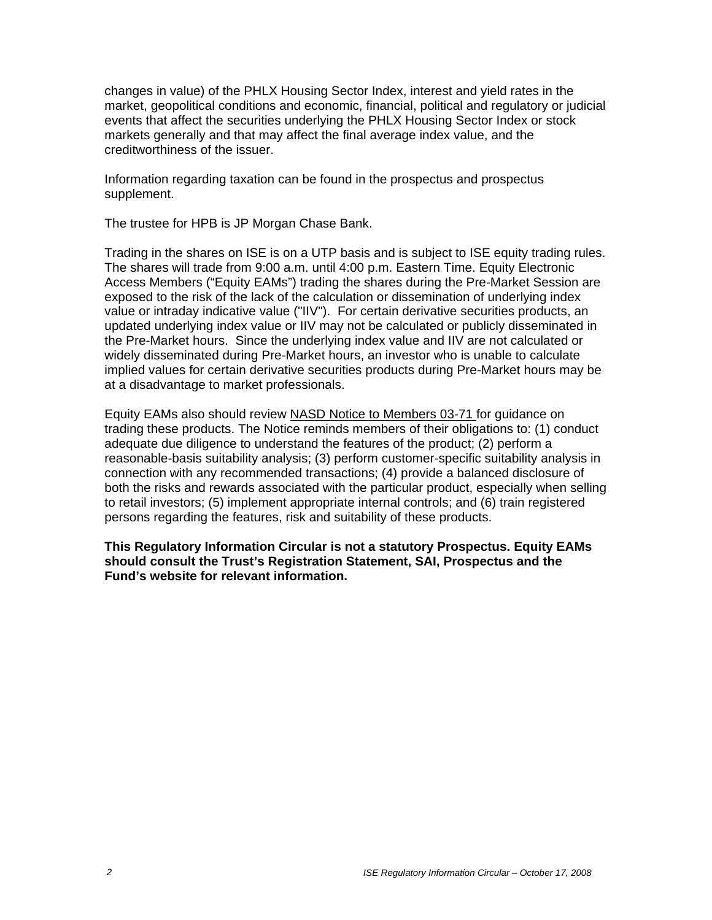changes in value) of the PHLX Housing Sector Index, interest and yield rates in the market, geopolitical conditions and economic, financial, political and regulatory or judicial events that affect the securities underlying the PHLX Housing Sector Index or stock markets generally and that may affect the final average index value, and the creditworthiness of the issuer.

Information regarding taxation can be found in the prospectus and prospectus supplement.

The trustee for HPB is JP Morgan Chase Bank.

Trading in the shares on ISE is on a UTP basis and is subject to ISE equity trading rules. The shares will trade from 9:00 a.m. until 4:00 p.m. Eastern Time. Equity Electronic Access Members ("Equity EAMs") trading the shares during the Pre-Market Session are exposed to the risk of the lack of the calculation or dissemination of underlying index value or intraday indicative value ("IIV"). For certain derivative securities products, an updated underlying index value or IIV may not be calculated or publicly disseminated in the Pre-Market hours. Since the underlying index value and IIV are not calculated or widely disseminated during Pre-Market hours, an investor who is unable to calculate implied values for certain derivative securities products during Pre-Market hours may be at a disadvantage to market professionals.

Equity EAMs also should review NASD Notice to Members 03-71 for guidance on trading these products. The Notice reminds members of their obligations to: (1) conduct adequate due diligence to understand the features of the product; (2) perform a reasonable-basis suitability analysis; (3) perform customer-specific suitability analysis in connection with any recommended transactions; (4) provide a balanced disclosure of both the risks and rewards associated with the particular product, especially when selling to retail investors; (5) implement appropriate internal controls; and (6) train registered persons regarding the features, risk and suitability of these products.

**This Regulatory Information Circular is not a statutory Prospectus. Equity EAMs should consult the Trust's Registration Statement, SAI, Prospectus and the Fund's website for relevant information.**